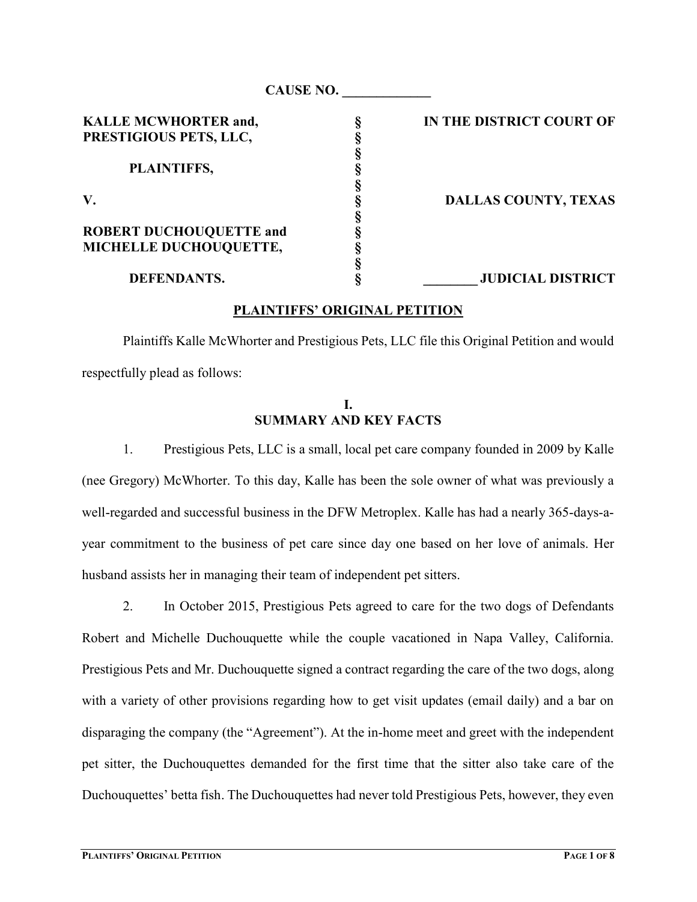|                                | <b>CAUSE NO.</b> |                             |
|--------------------------------|------------------|-----------------------------|
| <b>KALLE MCWHORTER and,</b>    |                  | IN THE DISTRICT COURT OF    |
| PRESTIGIOUS PETS, LLC,         |                  |                             |
|                                |                  |                             |
| PLAINTIFFS,                    |                  |                             |
|                                |                  |                             |
| V.                             |                  | <b>DALLAS COUNTY, TEXAS</b> |
|                                |                  |                             |
| <b>ROBERT DUCHOUQUETTE and</b> |                  |                             |
| MICHELLE DUCHOUQUETTE,         |                  |                             |
|                                |                  |                             |
| <b>DEFENDANTS.</b>             |                  | <b>JUDICIAL DISTRICT</b>    |

#### PLAINTIFFS' ORIGINAL PETITION

Plaintiffs Kalle McWhorter and Prestigious Pets, LLC file this Original Petition and would respectfully plead as follows:

#### I. SUMMARY AND KEY FACTS

1. Prestigious Pets, LLC is a small, local pet care company founded in 2009 by Kalle (nee Gregory) McWhorter. To this day, Kalle has been the sole owner of what was previously a well-regarded and successful business in the DFW Metroplex. Kalle has had a nearly 365-days-ayear commitment to the business of pet care since day one based on her love of animals. Her husband assists her in managing their team of independent pet sitters.

2. In October 2015, Prestigious Pets agreed to care for the two dogs of Defendants Robert and Michelle Duchouquette while the couple vacationed in Napa Valley, California. Prestigious Pets and Mr. Duchouquette signed a contract regarding the care of the two dogs, along with a variety of other provisions regarding how to get visit updates (email daily) and a bar on disparaging the company (the "Agreement"). At the in-home meet and greet with the independent pet sitter, the Duchouquettes demanded for the first time that the sitter also take care of the Duchouquettes' betta fish. The Duchouquettes had never told Prestigious Pets, however, they even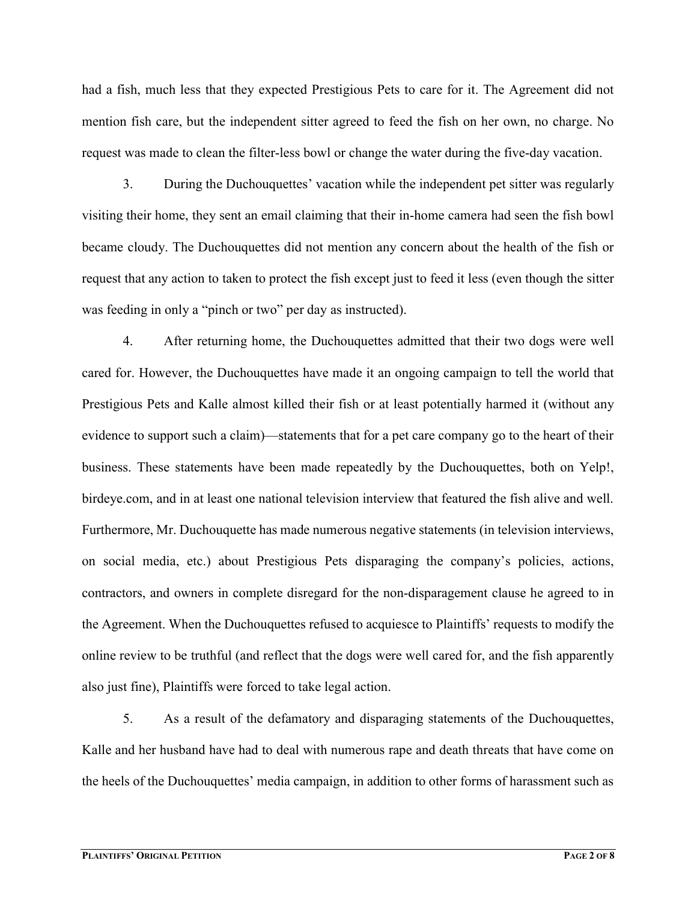had a fish, much less that they expected Prestigious Pets to care for it. The Agreement did not mention fish care, but the independent sitter agreed to feed the fish on her own, no charge. No request was made to clean the filter-less bowl or change the water during the five-day vacation.

3. During the Duchouquettes' vacation while the independent pet sitter was regularly visiting their home, they sent an email claiming that their in-home camera had seen the fish bowl became cloudy. The Duchouquettes did not mention any concern about the health of the fish or request that any action to taken to protect the fish except just to feed it less (even though the sitter was feeding in only a "pinch or two" per day as instructed).

4. After returning home, the Duchouquettes admitted that their two dogs were well cared for. However, the Duchouquettes have made it an ongoing campaign to tell the world that Prestigious Pets and Kalle almost killed their fish or at least potentially harmed it (without any evidence to support such a claim)—statements that for a pet care company go to the heart of their business. These statements have been made repeatedly by the Duchouquettes, both on Yelp!, birdeye.com, and in at least one national television interview that featured the fish alive and well. Furthermore, Mr. Duchouquette has made numerous negative statements (in television interviews, on social media, etc.) about Prestigious Pets disparaging the company's policies, actions, contractors, and owners in complete disregard for the non-disparagement clause he agreed to in the Agreement. When the Duchouquettes refused to acquiesce to Plaintiffs' requests to modify the online review to be truthful (and reflect that the dogs were well cared for, and the fish apparently also just fine), Plaintiffs were forced to take legal action.

5. As a result of the defamatory and disparaging statements of the Duchouquettes, Kalle and her husband have had to deal with numerous rape and death threats that have come on the heels of the Duchouquettes' media campaign, in addition to other forms of harassment such as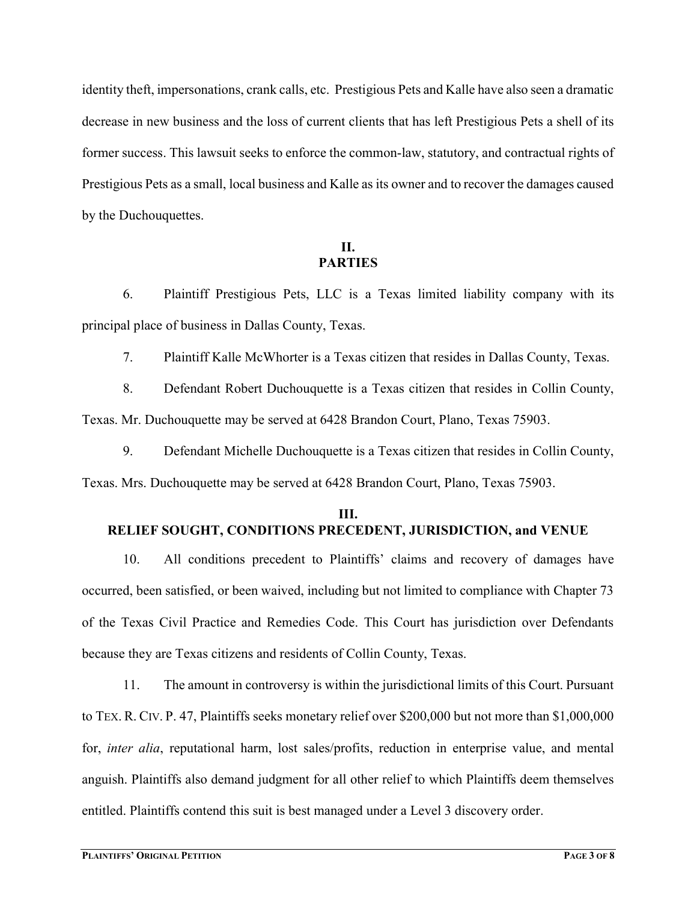identity theft, impersonations, crank calls, etc. Prestigious Pets and Kalle have also seen a dramatic decrease in new business and the loss of current clients that has left Prestigious Pets a shell of its former success. This lawsuit seeks to enforce the common-law, statutory, and contractual rights of Prestigious Pets as a small, local business and Kalle as its owner and to recover the damages caused by the Duchouquettes.

## II. PARTIES

 6. Plaintiff Prestigious Pets, LLC is a Texas limited liability company with its principal place of business in Dallas County, Texas.

7. Plaintiff Kalle McWhorter is a Texas citizen that resides in Dallas County, Texas.

 8. Defendant Robert Duchouquette is a Texas citizen that resides in Collin County, Texas. Mr. Duchouquette may be served at 6428 Brandon Court, Plano, Texas 75903.

9. Defendant Michelle Duchouquette is a Texas citizen that resides in Collin County,

Texas. Mrs. Duchouquette may be served at 6428 Brandon Court, Plano, Texas 75903.

### III. RELIEF SOUGHT, CONDITIONS PRECEDENT, JURISDICTION, and VENUE

 10. All conditions precedent to Plaintiffs' claims and recovery of damages have occurred, been satisfied, or been waived, including but not limited to compliance with Chapter 73 of the Texas Civil Practice and Remedies Code. This Court has jurisdiction over Defendants because they are Texas citizens and residents of Collin County, Texas.

 11. The amount in controversy is within the jurisdictional limits of this Court. Pursuant to TEX. R. CIV. P. 47, Plaintiffs seeks monetary relief over \$200,000 but not more than \$1,000,000 for, inter alia, reputational harm, lost sales/profits, reduction in enterprise value, and mental anguish. Plaintiffs also demand judgment for all other relief to which Plaintiffs deem themselves entitled. Plaintiffs contend this suit is best managed under a Level 3 discovery order.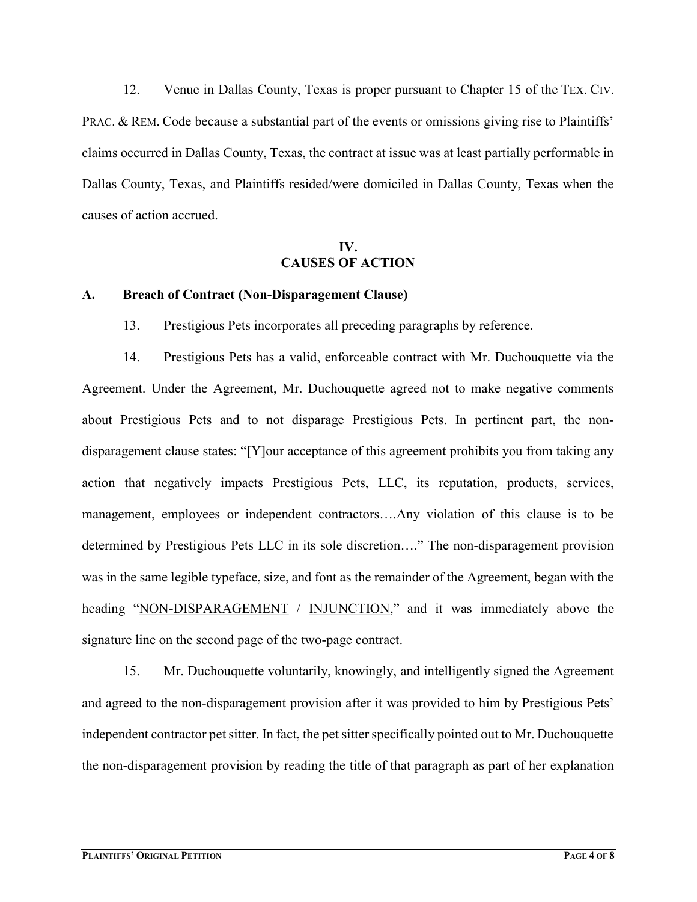12. Venue in Dallas County, Texas is proper pursuant to Chapter 15 of the TEX. CIV. PRAC. & REM. Code because a substantial part of the events or omissions giving rise to Plaintiffs' claims occurred in Dallas County, Texas, the contract at issue was at least partially performable in Dallas County, Texas, and Plaintiffs resided/were domiciled in Dallas County, Texas when the causes of action accrued.

### IV. CAUSES OF ACTION

#### A. Breach of Contract (Non-Disparagement Clause)

13. Prestigious Pets incorporates all preceding paragraphs by reference.

 14. Prestigious Pets has a valid, enforceable contract with Mr. Duchouquette via the Agreement. Under the Agreement, Mr. Duchouquette agreed not to make negative comments about Prestigious Pets and to not disparage Prestigious Pets. In pertinent part, the nondisparagement clause states: "[Y]our acceptance of this agreement prohibits you from taking any action that negatively impacts Prestigious Pets, LLC, its reputation, products, services, management, employees or independent contractors….Any violation of this clause is to be determined by Prestigious Pets LLC in its sole discretion…." The non-disparagement provision was in the same legible typeface, size, and font as the remainder of the Agreement, began with the heading "NON-DISPARAGEMENT / INJUNCTION," and it was immediately above the signature line on the second page of the two-page contract.

 15. Mr. Duchouquette voluntarily, knowingly, and intelligently signed the Agreement and agreed to the non-disparagement provision after it was provided to him by Prestigious Pets' independent contractor pet sitter. In fact, the pet sitter specifically pointed out to Mr. Duchouquette the non-disparagement provision by reading the title of that paragraph as part of her explanation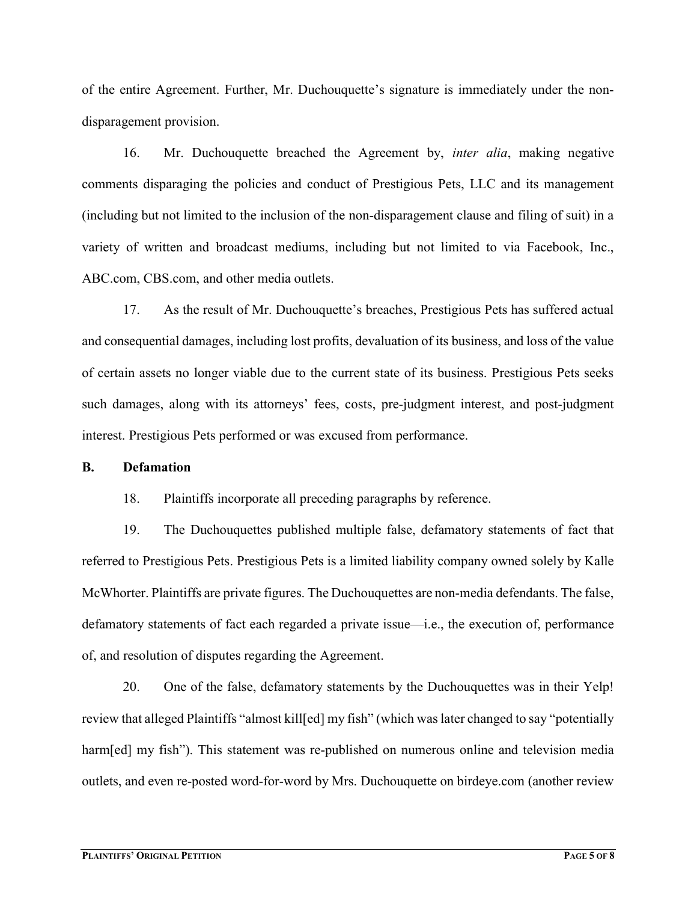of the entire Agreement. Further, Mr. Duchouquette's signature is immediately under the nondisparagement provision.

16. Mr. Duchouquette breached the Agreement by, *inter alia*, making negative comments disparaging the policies and conduct of Prestigious Pets, LLC and its management (including but not limited to the inclusion of the non-disparagement clause and filing of suit) in a variety of written and broadcast mediums, including but not limited to via Facebook, Inc., ABC.com, CBS.com, and other media outlets.

 17. As the result of Mr. Duchouquette's breaches, Prestigious Pets has suffered actual and consequential damages, including lost profits, devaluation of its business, and loss of the value of certain assets no longer viable due to the current state of its business. Prestigious Pets seeks such damages, along with its attorneys' fees, costs, pre-judgment interest, and post-judgment interest. Prestigious Pets performed or was excused from performance.

#### B. Defamation

18. Plaintiffs incorporate all preceding paragraphs by reference.

 19. The Duchouquettes published multiple false, defamatory statements of fact that referred to Prestigious Pets. Prestigious Pets is a limited liability company owned solely by Kalle McWhorter. Plaintiffs are private figures. The Duchouquettes are non-media defendants. The false, defamatory statements of fact each regarded a private issue—i.e., the execution of, performance of, and resolution of disputes regarding the Agreement.

 20. One of the false, defamatory statements by the Duchouquettes was in their Yelp! review that alleged Plaintiffs "almost kill[ed] my fish" (which was later changed to say "potentially harm[ed] my fish"). This statement was re-published on numerous online and television media outlets, and even re-posted word-for-word by Mrs. Duchouquette on birdeye.com (another review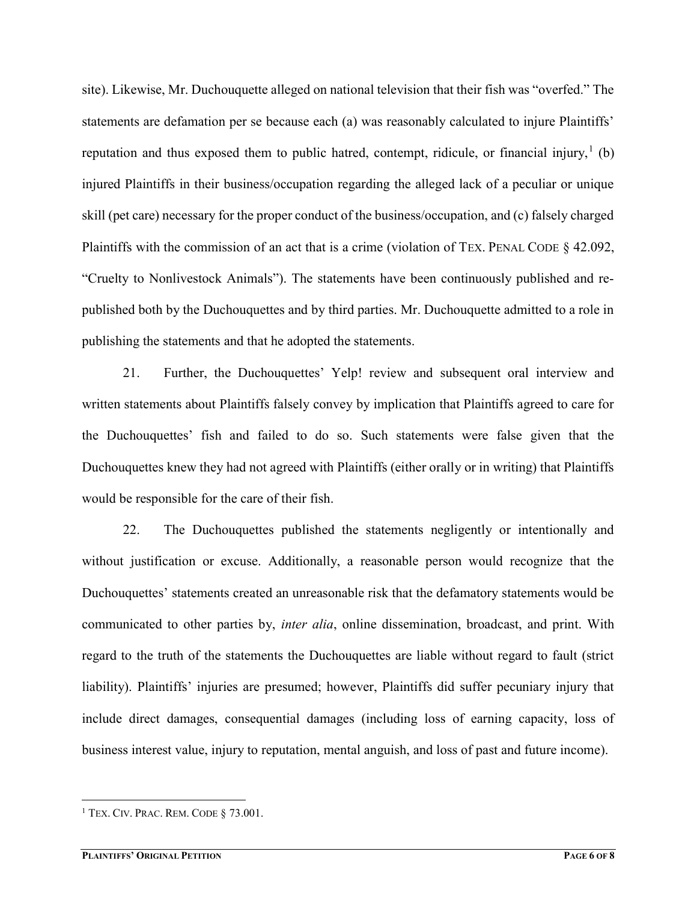site). Likewise, Mr. Duchouquette alleged on national television that their fish was "overfed." The statements are defamation per se because each (a) was reasonably calculated to injure Plaintiffs' reputation and thus exposed them to public hatred, contempt, ridicule, or financial injury,  $(1)$ injured Plaintiffs in their business/occupation regarding the alleged lack of a peculiar or unique skill (pet care) necessary for the proper conduct of the business/occupation, and (c) falsely charged Plaintiffs with the commission of an act that is a crime (violation of TEX. PENAL CODE § 42.092, "Cruelty to Nonlivestock Animals"). The statements have been continuously published and republished both by the Duchouquettes and by third parties. Mr. Duchouquette admitted to a role in publishing the statements and that he adopted the statements.

 21. Further, the Duchouquettes' Yelp! review and subsequent oral interview and written statements about Plaintiffs falsely convey by implication that Plaintiffs agreed to care for the Duchouquettes' fish and failed to do so. Such statements were false given that the Duchouquettes knew they had not agreed with Plaintiffs (either orally or in writing) that Plaintiffs would be responsible for the care of their fish.

 22. The Duchouquettes published the statements negligently or intentionally and without justification or excuse. Additionally, a reasonable person would recognize that the Duchouquettes' statements created an unreasonable risk that the defamatory statements would be communicated to other parties by, *inter alia*, online dissemination, broadcast, and print. With regard to the truth of the statements the Duchouquettes are liable without regard to fault (strict liability). Plaintiffs' injuries are presumed; however, Plaintiffs did suffer pecuniary injury that include direct damages, consequential damages (including loss of earning capacity, loss of business interest value, injury to reputation, mental anguish, and loss of past and future income).

 $\overline{a}$ 

 $1$  Tex. Civ. Prac. Rem. Code § 73.001.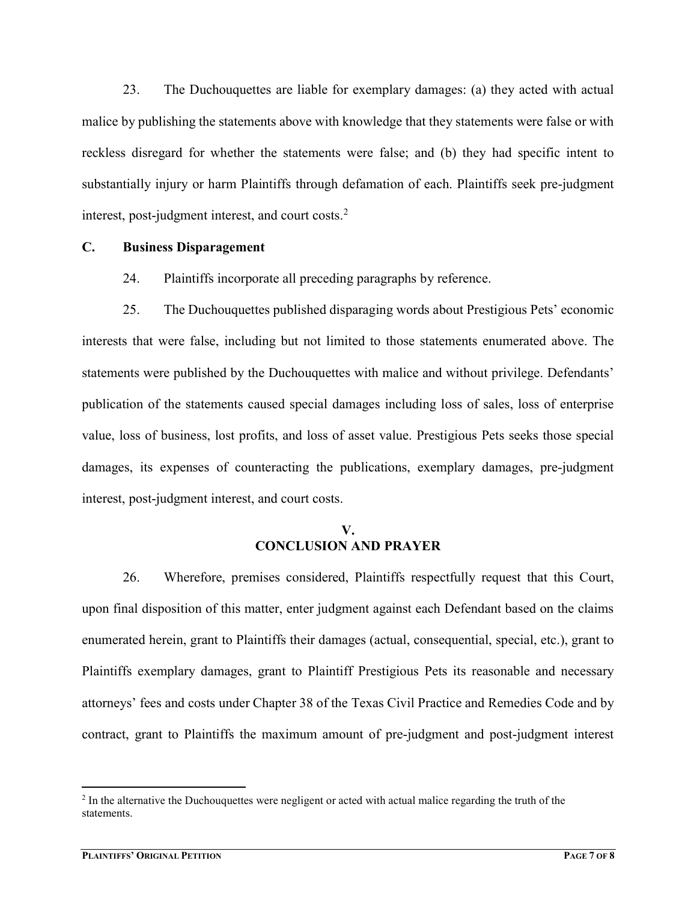23. The Duchouquettes are liable for exemplary damages: (a) they acted with actual malice by publishing the statements above with knowledge that they statements were false or with reckless disregard for whether the statements were false; and (b) they had specific intent to substantially injury or harm Plaintiffs through defamation of each. Plaintiffs seek pre-judgment interest, post-judgment interest, and court costs. $2$ 

#### C. Business Disparagement

24. Plaintiffs incorporate all preceding paragraphs by reference.

 25. The Duchouquettes published disparaging words about Prestigious Pets' economic interests that were false, including but not limited to those statements enumerated above. The statements were published by the Duchouquettes with malice and without privilege. Defendants' publication of the statements caused special damages including loss of sales, loss of enterprise value, loss of business, lost profits, and loss of asset value. Prestigious Pets seeks those special damages, its expenses of counteracting the publications, exemplary damages, pre-judgment interest, post-judgment interest, and court costs.

## V. CONCLUSION AND PRAYER

 26. Wherefore, premises considered, Plaintiffs respectfully request that this Court, upon final disposition of this matter, enter judgment against each Defendant based on the claims enumerated herein, grant to Plaintiffs their damages (actual, consequential, special, etc.), grant to Plaintiffs exemplary damages, grant to Plaintiff Prestigious Pets its reasonable and necessary attorneys' fees and costs under Chapter 38 of the Texas Civil Practice and Remedies Code and by contract, grant to Plaintiffs the maximum amount of pre-judgment and post-judgment interest

 $\overline{a}$ 

 $<sup>2</sup>$  In the alternative the Duchouquettes were negligent or acted with actual malice regarding the truth of the</sup> statements.